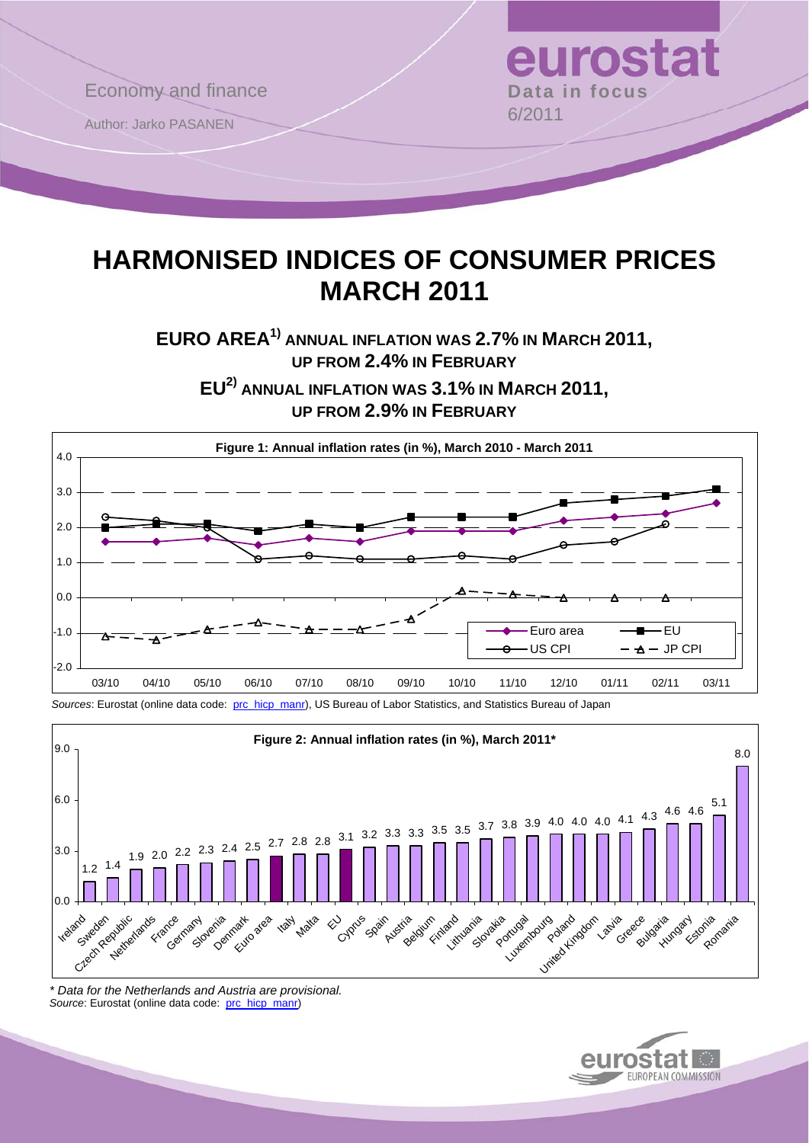

# **HARMONISED INDICES OF CONSUMER PRICES MARCH 2011**

**EURO AREA1) ANNUAL INFLATION WAS 2.7% IN MARCH 2011, UP FROM 2.4% IN FEBRUARY**

**EU2) ANNUAL INFLATION WAS 3.1% IN MARCH 2011, UP FROM 2.9% IN FEBRUARY**





*\* Data for the Netherlands and Austria are provisional.*  Source: Eurostat (online data code: [prc\\_hicp\\_manr](http://ec.europa.eu/eurostat/product?code=prc_hicp_manr&mode=view))

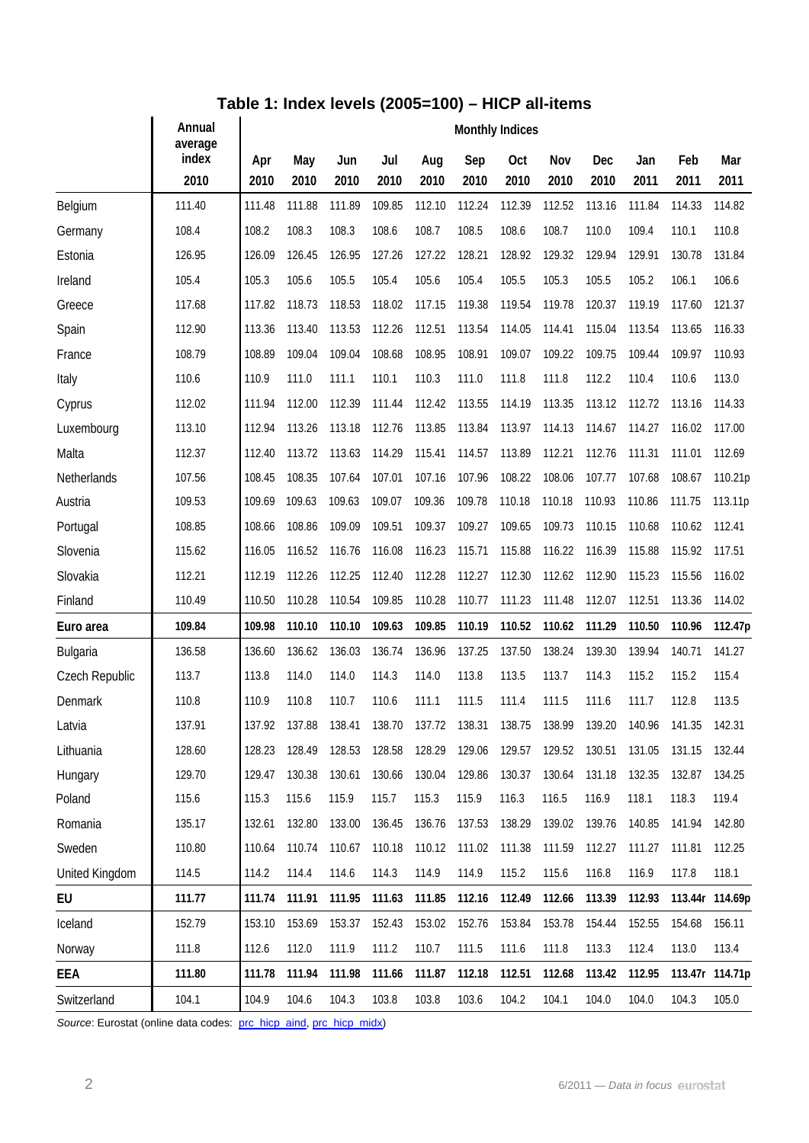## **Table 1: Index levels (2005=100) – HICP all-items**

|                       | Annual<br>average | <b>Monthly Indices</b> |             |             |             |             |             |               |             |             |             |             |                 |  |
|-----------------------|-------------------|------------------------|-------------|-------------|-------------|-------------|-------------|---------------|-------------|-------------|-------------|-------------|-----------------|--|
|                       | index<br>2010     | Apr<br>2010            | May<br>2010 | Jun<br>2010 | Jul<br>2010 | Aug<br>2010 | Sep<br>2010 | Oct<br>2010   | Nov<br>2010 | Dec<br>2010 | Jan<br>2011 | Feb<br>2011 | Mar<br>2011     |  |
| Belgium               | 111.40            | 111.48                 | 111.88      | 111.89      | 109.85      | 112.10      | 112.24      | 112.39        | 112.52      | 113.16      | 111.84      | 114.33      | 114.82          |  |
| Germany               | 108.4             | 108.2                  | 108.3       | 108.3       | 108.6       | 108.7       | 108.5       | 108.6         | 108.7       | 110.0       | 109.4       | 110.1       | 110.8           |  |
| Estonia               | 126.95            | 126.09                 | 126.45      | 126.95      | 127.26      | 127.22      | 128.21      | 128.92        | 129.32      | 129.94      | 129.91      | 130.78      | 131.84          |  |
| Ireland               | 105.4             | 105.3                  | 105.6       | 105.5       | 105.4       | 105.6       | 105.4       | 105.5         | 105.3       | 105.5       | 105.2       | 106.1       | 106.6           |  |
| Greece                | 117.68            | 117.82                 | 118.73      | 118.53      | 118.02      | 117.15      | 119.38      | 119.54        | 119.78      | 120.37      | 119.19      | 117.60      | 121.37          |  |
| Spain                 | 112.90            | 113.36                 | 113.40      | 113.53      | 112.26      | 112.51      | 113.54      | 114.05        | 114.41      | 115.04      | 113.54      | 113.65      | 116.33          |  |
| France                | 108.79            | 108.89                 | 109.04      | 109.04      | 108.68      | 108.95      | 108.91      | 109.07        | 109.22      | 109.75      | 109.44      | 109.97      | 110.93          |  |
| Italy                 | 110.6             | 110.9                  | 111.0       | 111.1       | 110.1       | 110.3       | 111.0       | 111.8         | 111.8       | 112.2       | 110.4       | 110.6       | 113.0           |  |
| Cyprus                | 112.02            | 111.94                 | 112.00      | 112.39      | 111.44      | 112.42      | 113.55      | 114.19        | 113.35      | 113.12      | 112.72      | 113.16      | 114.33          |  |
| Luxembourg            | 113.10            | 112.94                 | 113.26      | 113.18      | 112.76      | 113.85      | 113.84      | 113.97        | 114.13      | 114.67      | 114.27      | 116.02      | 117.00          |  |
| Malta                 | 112.37            | 112.40                 | 113.72      | 113.63      | 114.29      | 115.41      | 114.57      | 113.89        | 112.21      | 112.76      | 111.31      | 111.01      | 112.69          |  |
| Netherlands           | 107.56            | 108.45                 | 108.35      | 107.64      | 107.01      | 107.16      | 107.96      | 108.22        | 108.06      | 107.77      | 107.68      | 108.67      | 110.21p         |  |
| Austria               | 109.53            | 109.69                 | 109.63      | 109.63      | 109.07      | 109.36      | 109.78      | 110.18        | 110.18      | 110.93      | 110.86      | 111.75      | 113.11p         |  |
| Portugal              | 108.85            | 108.66                 | 108.86      | 109.09      | 109.51      | 109.37      | 109.27      | 109.65        | 109.73      | 110.15      | 110.68      | 110.62      | 112.41          |  |
| Slovenia              | 115.62            | 116.05                 | 116.52      | 116.76      | 116.08      | 116.23      | 115.71      | 115.88        | 116.22      | 116.39      | 115.88      | 115.92      | 117.51          |  |
| Slovakia              | 112.21            | 112.19                 | 112.26      | 112.25      | 112.40      | 112.28      | 112.27      | 112.30        | 112.62      | 112.90      | 115.23      | 115.56      | 116.02          |  |
| Finland               | 110.49            | 110.50                 | 110.28      | 110.54      | 109.85      | 110.28      | 110.77      | 111.23        | 111.48      | 112.07      | 112.51      | 113.36      | 114.02          |  |
| Euro area             | 109.84            | 109.98                 | 110.10      | 110.10      | 109.63      | 109.85      | 110.19      | 110.52        | 110.62      | 111.29      | 110.50      | 110.96      | 112.47p         |  |
| Bulgaria              | 136.58            | 136.60                 | 136.62      | 136.03      | 136.74      | 136.96      | 137.25      | 137.50        | 138.24      | 139.30      | 139.94      | 140.71      | 141.27          |  |
| Czech Republic        | 113.7             | 113.8                  | 114.0       | 114.0       | 114.3       | 114.0       | 113.8       | 113.5         | 113.7       | 114.3       | 115.2       | 115.2       | 115.4           |  |
| Denmark               | 110.8             | 110.9                  | 110.8       | 110.7       | 110.6       | 111.1       | 111.5       | 111.4         | 111.5       | 111.6       | 111.7       | 112.8       | 113.5           |  |
| Latvia                | 137.91            | 137.92                 | 137.88      | 138.41      | 138.70      | 137.72      | 138.31      | 138.75        | 138.99      | 139.20      | 140.96      | 141.35      | 142.31          |  |
| Lithuania             | 128.60            | 128.23                 | 128.49      | 128.53      | 128.58      | 128.29      | 129.06      | 129.57 129.52 |             | 130.51      | 131.05      | 131.15      | 132.44          |  |
| Hungary               | 129.70            | 129.47                 | 130.38      | 130.61      | 130.66      | 130.04      | 129.86      | 130.37        | 130.64      | 131.18      | 132.35      | 132.87      | 134.25          |  |
| Poland                | 115.6             | 115.3                  | 115.6       | 115.9       | 115.7       | 115.3       | 115.9       | 116.3         | 116.5       | 116.9       | 118.1       | 118.3       | 119.4           |  |
| Romania               | 135.17            | 132.61                 | 132.80      | 133.00      | 136.45      | 136.76      | 137.53      | 138.29        | 139.02      | 139.76      | 140.85      | 141.94      | 142.80          |  |
| Sweden                | 110.80            | 110.64                 | 110.74      | 110.67      | 110.18      | 110.12      | 111.02      | 111.38        | 111.59      | 112.27      | 111.27      | 111.81      | 112.25          |  |
| <b>United Kingdom</b> | 114.5             | 114.2                  | 114.4       | 114.6       | 114.3       | 114.9       | 114.9       | 115.2         | 115.6       | 116.8       | 116.9       | 117.8       | 118.1           |  |
| EU                    | 111.77            | 111.74                 | 111.91      | 111.95      | 111.63      | 111.85      | 112.16      | 112.49        | 112.66      | 113.39      | 112.93      |             | 113.44r 114.69p |  |
| Iceland               | 152.79            | 153.10                 | 153.69      | 153.37      | 152.43      | 153.02      | 152.76      | 153.84        | 153.78      | 154.44      | 152.55      | 154.68      | 156.11          |  |
| Norway                | 111.8             | 112.6                  | 112.0       | 111.9       | 111.2       | 110.7       | 111.5       | 111.6         | 111.8       | 113.3       | 112.4       | 113.0       | 113.4           |  |
| EEA                   | 111.80            | 111.78                 | 111.94      | 111.98      | 111.66      | 111.87      | 112.18      | 112.51        | 112.68      | 113.42      | 112.95      |             | 113.47r 114.71p |  |
| Switzerland           | 104.1             | 104.9                  | 104.6       | 104.3       | 103.8       | 103.8       | 103.6       | 104.2         | 104.1       | 104.0       | 104.0       | 104.3       | 105.0           |  |

Source: Eurostat (online data codes: [prc\\_hicp\\_aind,](http://ec.europa.eu/eurostat/product?code=prc_hicp_aind&mode=view) [prc\\_hicp\\_midx\)](http://ec.europa.eu/eurostat/product?code=prc_hicp_midx&mode=view)

 $\overline{a}$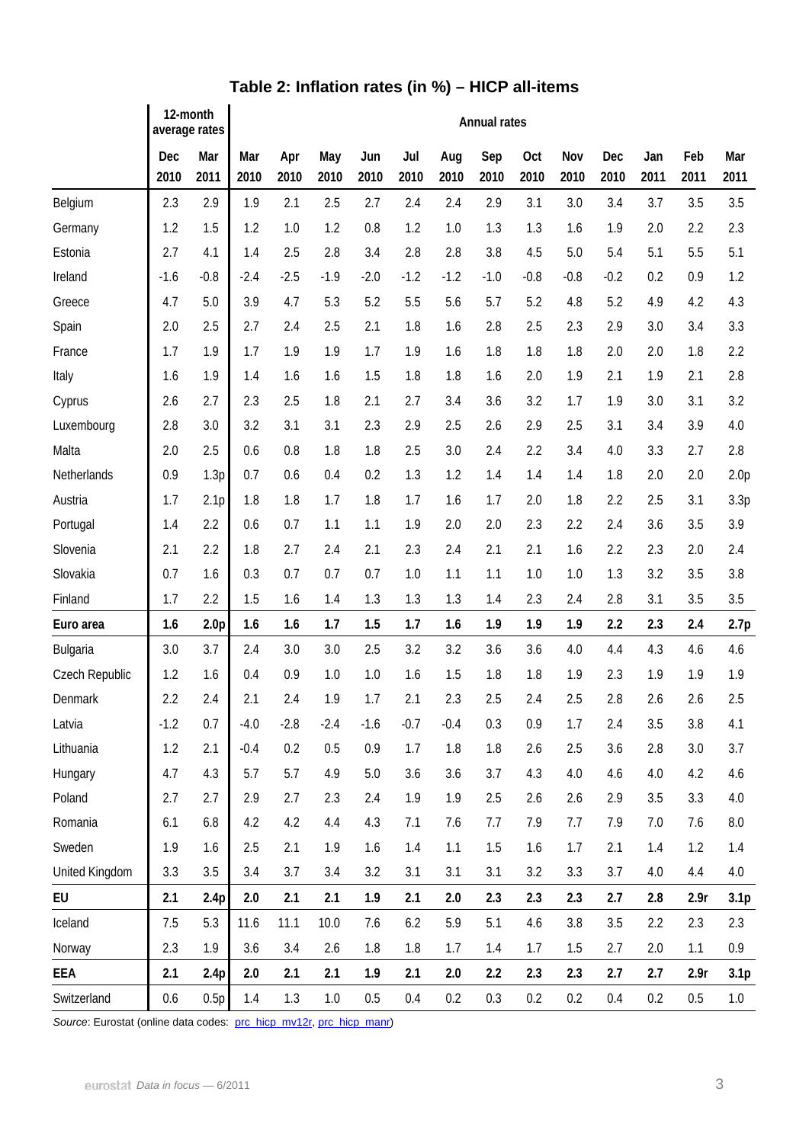|                 | 12-month<br>average rates |                  | <b>Annual rates</b> |             |             |             |             |             |             |             |             |                    |             |             |                  |
|-----------------|---------------------------|------------------|---------------------|-------------|-------------|-------------|-------------|-------------|-------------|-------------|-------------|--------------------|-------------|-------------|------------------|
|                 | Dec<br>2010               | Mar<br>2011      | Mar<br>2010         | Apr<br>2010 | May<br>2010 | Jun<br>2010 | Jul<br>2010 | Aug<br>2010 | Sep<br>2010 | Oct<br>2010 | Nov<br>2010 | <b>Dec</b><br>2010 | Jan<br>2011 | Feb<br>2011 | Mar<br>2011      |
| Belgium         | 2.3                       | 2.9              | 1.9                 | 2.1         | 2.5         | 2.7         | 2.4         | 2.4         | 2.9         | 3.1         | 3.0         | 3.4                | 3.7         | 3.5         | 3.5              |
| Germany         | 1.2                       | 1.5              | 1.2                 | 1.0         | 1.2         | 0.8         | 1.2         | 1.0         | 1.3         | 1.3         | 1.6         | 1.9                | 2.0         | 2.2         | 2.3              |
| Estonia         | 2.7                       | 4.1              | 1.4                 | 2.5         | 2.8         | 3.4         | 2.8         | 2.8         | 3.8         | 4.5         | 5.0         | 5.4                | 5.1         | 5.5         | 5.1              |
| Ireland         | $-1.6$                    | $-0.8$           | $-2.4$              | $-2.5$      | $-1.9$      | $-2.0$      | $-1.2$      | $-1.2$      | $-1.0$      | $-0.8$      | $-0.8$      | $-0.2$             | 0.2         | 0.9         | 1.2              |
| Greece          | 4.7                       | 5.0              | 3.9                 | 4.7         | 5.3         | 5.2         | 5.5         | 5.6         | 5.7         | 5.2         | 4.8         | 5.2                | 4.9         | 4.2         | 4.3              |
| Spain           | 2.0                       | 2.5              | 2.7                 | 2.4         | 2.5         | 2.1         | 1.8         | 1.6         | 2.8         | 2.5         | 2.3         | 2.9                | 3.0         | 3.4         | 3.3              |
| France          | 1.7                       | 1.9              | 1.7                 | 1.9         | 1.9         | 1.7         | 1.9         | 1.6         | 1.8         | 1.8         | 1.8         | 2.0                | 2.0         | 1.8         | 2.2              |
| Italy           | 1.6                       | 1.9              | 1.4                 | 1.6         | 1.6         | 1.5         | 1.8         | 1.8         | 1.6         | 2.0         | 1.9         | 2.1                | 1.9         | 2.1         | 2.8              |
| Cyprus          | 2.6                       | 2.7              | 2.3                 | 2.5         | 1.8         | 2.1         | 2.7         | 3.4         | 3.6         | 3.2         | 1.7         | 1.9                | 3.0         | 3.1         | 3.2              |
| Luxembourg      | 2.8                       | 3.0              | 3.2                 | 3.1         | 3.1         | 2.3         | 2.9         | 2.5         | 2.6         | 2.9         | 2.5         | 3.1                | 3.4         | 3.9         | 4.0              |
| Malta           | 2.0                       | 2.5              | 0.6                 | 0.8         | 1.8         | 1.8         | 2.5         | 3.0         | 2.4         | 2.2         | 3.4         | 4.0                | 3.3         | 2.7         | 2.8              |
| Netherlands     | 0.9                       | 1.3p             | 0.7                 | 0.6         | 0.4         | 0.2         | 1.3         | 1.2         | 1.4         | 1.4         | 1.4         | 1.8                | 2.0         | 2.0         | 2.0 <sub>p</sub> |
| Austria         | 1.7                       | 2.1 <sub>p</sub> | 1.8                 | 1.8         | 1.7         | 1.8         | 1.7         | 1.6         | 1.7         | 2.0         | 1.8         | 2.2                | 2.5         | 3.1         | 3.3p             |
| Portugal        | 1.4                       | 2.2              | 0.6                 | 0.7         | 1.1         | 1.1         | 1.9         | 2.0         | 2.0         | 2.3         | 2.2         | 2.4                | 3.6         | 3.5         | 3.9              |
| Slovenia        | 2.1                       | 2.2              | 1.8                 | 2.7         | 2.4         | 2.1         | 2.3         | 2.4         | 2.1         | 2.1         | 1.6         | 2.2                | 2.3         | 2.0         | 2.4              |
| Slovakia        | 0.7                       | 1.6              | 0.3                 | 0.7         | 0.7         | 0.7         | 1.0         | 1.1         | 1.1         | 1.0         | 1.0         | 1.3                | 3.2         | 3.5         | 3.8              |
| Finland         | 1.7                       | 2.2              | 1.5                 | 1.6         | 1.4         | 1.3         | 1.3         | 1.3         | 1.4         | 2.3         | 2.4         | 2.8                | 3.1         | 3.5         | 3.5              |
| Euro area       | 1.6                       | 2.0 <sub>p</sub> | 1.6                 | 1.6         | 1.7         | 1.5         | 1.7         | 1.6         | 1.9         | 1.9         | 1.9         | 2.2                | 2.3         | 2.4         | 2.7p             |
| <b>Bulgaria</b> | 3.0                       | 3.7              | 2.4                 | 3.0         | 3.0         | 2.5         | 3.2         | 3.2         | 3.6         | 3.6         | 4.0         | 4.4                | 4.3         | 4.6         | 4.6              |
| Czech Republic  | 1.2                       | 1.6              | 0.4                 | 0.9         | 1.0         | 1.0         | 1.6         | 1.5         | 1.8         | 1.8         | 1.9         | 2.3                | 1.9         | 1.9         | 1.9              |
| Denmark         | 2.2                       | 2.4              | 2.1                 | 2.4         | 1.9         | 1.7         | 2.1         | 2.3         | 2.5         | 2.4         | 2.5         | 2.8                | 2.6         | 2.6         | 2.5              |
| Latvia          | $-1.2$                    | 0.7              | $-4.0$              | $-2.8$      | $-2.4$      | $-1.6$      | $-0.7$      | $-0.4$      | 0.3         | 0.9         | 1.7         | 2.4                | 3.5         | 3.8         | 4.1              |
| Lithuania       | 1.2                       | 2.1              | $-0.4$              | 0.2         | 0.5         | 0.9         | 1.7         | 1.8         | 1.8         | 2.6         | 2.5         | 3.6                | 2.8         | 3.0         | 3.7              |
| Hungary         | 4.7                       | 4.3              | 5.7                 | 5.7         | 4.9         | 5.0         | 3.6         | 3.6         | 3.7         | 4.3         | 4.0         | 4.6                | 4.0         | 4.2         | 4.6              |
| Poland          | 2.7                       | 2.7              | 2.9                 | 2.7         | 2.3         | 2.4         | 1.9         | 1.9         | 2.5         | 2.6         | 2.6         | 2.9                | 3.5         | 3.3         | 4.0              |
| Romania         | 6.1                       | 6.8              | 4.2                 | 4.2         | 4.4         | 4.3         | 7.1         | 7.6         | 7.7         | 7.9         | 7.7         | 7.9                | 7.0         | 7.6         | $8.0\,$          |
| Sweden          | 1.9                       | 1.6              | 2.5                 | 2.1         | 1.9         | 1.6         | 1.4         | 1.1         | 1.5         | 1.6         | 1.7         | 2.1                | 1.4         | 1.2         | 1.4              |
| United Kingdom  | 3.3                       | 3.5              | 3.4                 | 3.7         | 3.4         | 3.2         | 3.1         | 3.1         | 3.1         | 3.2         | 3.3         | 3.7                | 4.0         | 4.4         | 4.0              |
| EU              | 2.1                       | 2.4p             | 2.0                 | 2.1         | 2.1         | 1.9         | 2.1         | 2.0         | 2.3         | 2.3         | 2.3         | 2.7                | 2.8         | 2.9r        | 3.1 <sub>p</sub> |
| Iceland         | 7.5                       | 5.3              | 11.6                | 11.1        | 10.0        | 7.6         | 6.2         | 5.9         | 5.1         | 4.6         | 3.8         | 3.5                | 2.2         | 2.3         | 2.3              |
| Norway          | 2.3                       | 1.9              | 3.6                 | 3.4         | 2.6         | 1.8         | 1.8         | 1.7         | 1.4         | 1.7         | 1.5         | 2.7                | 2.0         | 1.1         | 0.9              |
| EEA             | 2.1                       | 2.4p             | 2.0                 | 2.1         | 2.1         | 1.9         | 2.1         | 2.0         | 2.2         | 2.3         | 2.3         | 2.7                | 2.7         | 2.9r        | 3.1 <sub>p</sub> |
| Switzerland     | 0.6                       | 0.5p             | 1.4                 | 1.3         | 1.0         | 0.5         | 0.4         | 0.2         | 0.3         | 0.2         | 0.2         | 0.4                | 0.2         | 0.5         | 1.0              |

## **Table 2: Inflation rates (in %) – HICP all-items**

Source: Eurostat (online data codes: [prc\\_hicp\\_mv12r,](http://ec.europa.eu/eurostat/product?code=prc_hicp_mv12r&mode=view) [prc\\_hicp\\_manr](http://ec.europa.eu/eurostat/product?code=prc_hicp_manr&mode=view))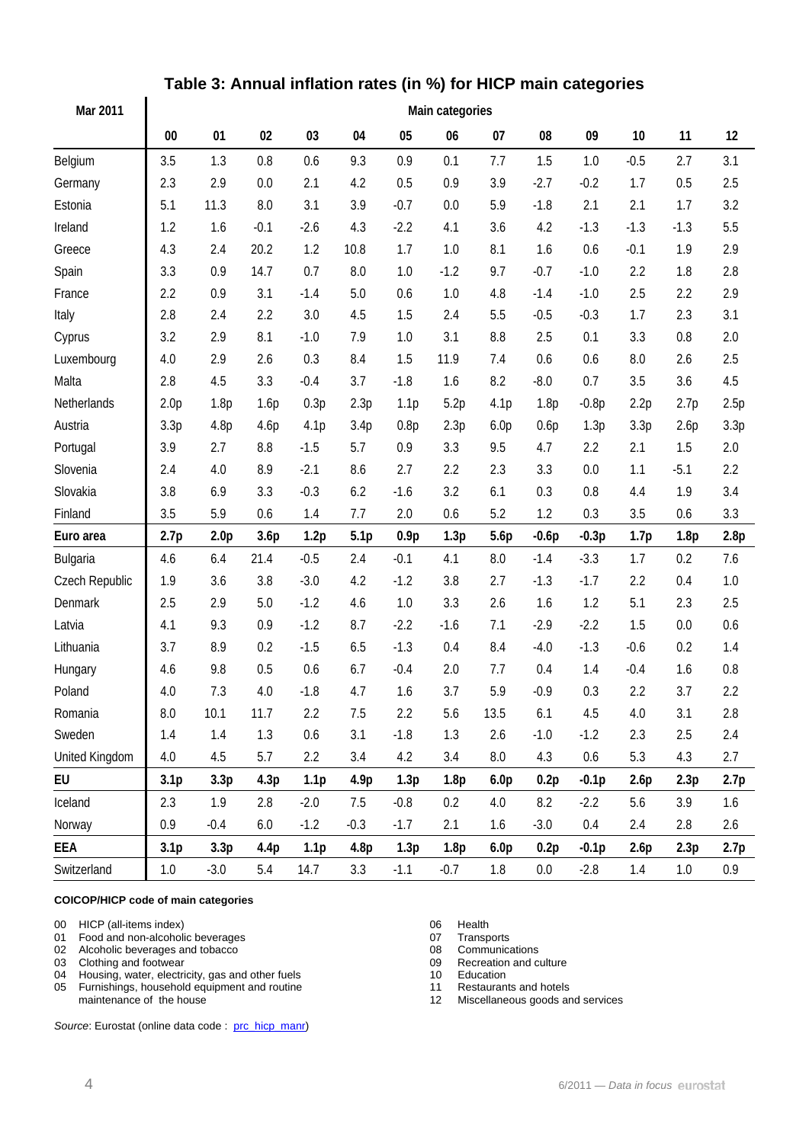| Mar 2011       | Main categories  |                  |        |                  |                  |                  |                  |                  |         |         |         |        |      |
|----------------|------------------|------------------|--------|------------------|------------------|------------------|------------------|------------------|---------|---------|---------|--------|------|
|                | $00\,$           | 01               | 02     | 03               | 04               | 05               | 06               | 07               | 08      | 09      | 10      | 11     | 12   |
| Belgium        | 3.5              | 1.3              | 0.8    | 0.6              | 9.3              | 0.9              | 0.1              | 7.7              | 1.5     | 1.0     | $-0.5$  | 2.7    | 3.1  |
| Germany        | 2.3              | 2.9              | 0.0    | 2.1              | 4.2              | 0.5              | 0.9              | 3.9              | $-2.7$  | $-0.2$  | 1.7     | 0.5    | 2.5  |
| Estonia        | 5.1              | 11.3             | 8.0    | 3.1              | 3.9              | $-0.7$           | 0.0              | 5.9              | $-1.8$  | 2.1     | 2.1     | 1.7    | 3.2  |
| Ireland        | 1.2              | 1.6              | $-0.1$ | $-2.6$           | 4.3              | $-2.2$           | 4.1              | 3.6              | 4.2     | $-1.3$  | $-1.3$  | $-1.3$ | 5.5  |
| Greece         | 4.3              | 2.4              | 20.2   | 1.2              | 10.8             | 1.7              | 1.0              | 8.1              | 1.6     | 0.6     | $-0.1$  | 1.9    | 2.9  |
| Spain          | 3.3              | 0.9              | 14.7   | 0.7              | 8.0              | 1.0              | $-1.2$           | 9.7              | $-0.7$  | $-1.0$  | 2.2     | 1.8    | 2.8  |
| France         | 2.2              | 0.9              | 3.1    | $-1.4$           | 5.0              | 0.6              | 1.0              | 4.8              | $-1.4$  | $-1.0$  | 2.5     | 2.2    | 2.9  |
| Italy          | 2.8              | 2.4              | 2.2    | 3.0              | 4.5              | 1.5              | 2.4              | 5.5              | $-0.5$  | $-0.3$  | 1.7     | 2.3    | 3.1  |
| Cyprus         | 3.2              | 2.9              | 8.1    | $-1.0$           | 7.9              | 1.0              | 3.1              | 8.8              | 2.5     | 0.1     | 3.3     | 0.8    | 2.0  |
| Luxembourg     | 4.0              | 2.9              | 2.6    | 0.3              | 8.4              | 1.5              | 11.9             | 7.4              | 0.6     | 0.6     | 8.0     | 2.6    | 2.5  |
| Malta          | 2.8              | 4.5              | 3.3    | $-0.4$           | 3.7              | $-1.8$           | 1.6              | 8.2              | $-8.0$  | 0.7     | 3.5     | 3.6    | 4.5  |
| Netherlands    | 2.0 <sub>p</sub> | 1.8p             | 1.6p   | 0.3p             | 2.3p             | 1.1 <sub>p</sub> | 5.2p             | 4.1p             | 1.8p    | $-0.8p$ | 2.2p    | 2.7p   | 2.5p |
| Austria        | 3.3p             | 4.8p             | 4.6p   | 4.1p             | 3.4p             | 0.8p             | 2.3p             | 6.0 <sub>p</sub> | 0.6p    | 1.3p    | 3.3p    | 2.6p   | 3.3p |
| Portugal       | 3.9              | 2.7              | 8.8    | $-1.5$           | 5.7              | 0.9              | 3.3              | 9.5              | 4.7     | 2.2     | 2.1     | 1.5    | 2.0  |
| Slovenia       | 2.4              | 4.0              | 8.9    | $-2.1$           | 8.6              | 2.7              | 2.2              | 2.3              | 3.3     | 0.0     | 1.1     | $-5.1$ | 2.2  |
| Slovakia       | 3.8              | 6.9              | 3.3    | $-0.3$           | 6.2              | $-1.6$           | 3.2              | 6.1              | 0.3     | 0.8     | 4.4     | 1.9    | 3.4  |
| Finland        | 3.5              | 5.9              | 0.6    | 1.4              | 7.7              | 2.0              | 0.6              | 5.2              | 1.2     | 0.3     | 3.5     | 0.6    | 3.3  |
| Euro area      | 2.7p             | 2.0 <sub>p</sub> | 3.6p   | 1.2p             | 5.1 <sub>p</sub> | 0.9p             | 1.3p             | 5.6p             | $-0.6p$ | $-0.3p$ | 1.7p    | 1.8p   | 2.8p |
| Bulgaria       | 4.6              | 6.4              | 21.4   | $-0.5$           | 2.4              | $-0.1$           | 4.1              | 8.0              | $-1.4$  | $-3.3$  | 1.7     | 0.2    | 7.6  |
| Czech Republic | 1.9              | 3.6              | 3.8    | $-3.0$           | 4.2              | $-1.2$           | 3.8              | 2.7              | $-1.3$  | $-1.7$  | 2.2     | 0.4    | 1.0  |
| Denmark        | 2.5              | 2.9              | 5.0    | $-1.2$           | 4.6              | 1.0              | 3.3              | 2.6              | 1.6     | 1.2     | 5.1     | 2.3    | 2.5  |
| Latvia         | 4.1              | 9.3              | 0.9    | $-1.2$           | 8.7              | $-2.2$           | $-1.6$           | 7.1              | $-2.9$  | $-2.2$  | 1.5     | 0.0    | 0.6  |
| Lithuania      | 3.7              | 8.9              | 0.2    | $-1.5$           | 6.5              | $-1.3$           | 0.4              | 8.4              | $-4.0$  | $-1.3$  | $-0.6$  | 0.2    | 1.4  |
| Hungary        | 4.6              | 9.8              | 0.5    | 0.6              | 6.7              | $-0.4$           | 2.0              | 7.7              | 0.4     | 1.4     | $-0.4$  | 1.6    | 0.8  |
| Poland         | 4.0              | 7.3              | 4.0    | $-1.8$           | 4.7              | 1.6              | 3.7              | 5.9              | $-0.9$  | 0.3     | 2.2     | 3.7    | 2.2  |
| Romania        | 8.0              | 10.1             | 11.7   | 2.2              | 7.5              | 2.2              | 5.6              | 13.5             | 6.1     | 4.5     | $4.0\,$ | 3.1    | 2.8  |
| Sweden         | 1.4              | 1.4              | 1.3    | 0.6              | 3.1              | $-1.8$           | 1.3              | 2.6              | $-1.0$  | $-1.2$  | 2.3     | 2.5    | 2.4  |
| United Kingdom | 4.0              | 4.5              | 5.7    | 2.2              | 3.4              | 4.2              | 3.4              | 8.0              | 4.3     | 0.6     | 5.3     | 4.3    | 2.7  |
| EU             | 3.1 <sub>p</sub> | 3.3 <sub>p</sub> | 4.3p   | 1.1 <sub>p</sub> | 4.9p             | 1.3p             | 1.8 <sub>p</sub> | 6.0 <sub>p</sub> | 0.2p    | $-0.1p$ | 2.6p    | 2.3p   | 2.7p |
| Iceland        | 2.3              | 1.9              | 2.8    | $-2.0$           | 7.5              | $-0.8$           | 0.2              | 4.0              | 8.2     | $-2.2$  | 5.6     | 3.9    | 1.6  |
| Norway         | 0.9              | $-0.4$           | 6.0    | $-1.2$           | $-0.3$           | $-1.7$           | 2.1              | 1.6              | $-3.0$  | 0.4     | 2.4     | 2.8    | 2.6  |
| EEA            | 3.1 <sub>p</sub> | 3.3p             | 4.4p   | 1.1 <sub>p</sub> | 4.8p             | 1.3p             | 1.8 <sub>p</sub> | 6.0 <sub>p</sub> | 0.2p    | $-0.1p$ | 2.6p    | 2.3p   | 2.7p |
| Switzerland    | $1.0\,$          | $-3.0$           | 5.4    | 14.7             | 3.3              | $-1.1$           | $-0.7$           | $1.8\,$          | 0.0     | $-2.8$  | 1.4     | 1.0    | 0.9  |

## **Table 3: Annual inflation rates (in %) for HICP main categories**

#### **COICOP/HICP code of main categories**

 $\overline{a}$ 

- 00 HICP (all-items index)<br>
01 Food and non-alcoholic beverages<br>
07 Transports 01 Food and non-alcoholic beverages<br>
02 Alcoholic beverages and tobacco<br>
02 Alcoholic beverages and tobacco<br>
08 Communications
- 02 Alcoholic beverages and tobacco<br>
03 Clothing and footwear<br>
09 Recreation and culture
- 
- 03 Clothing and footwear 09 Recreation 04 Housing, water, electricity, gas and other fuels 09 09 Recreation 04 04 Housing, water, electricity, gas and other fuels 10 Education<br>
05 Furnishings, household equipment and routine 11 Restaurants and hotels
- 05 Furnishings, household equipment and routine maintenance of the house

Source: Eurostat (online data code : [prc\\_hicp\\_manr\)](http://ec.europa.eu/eurostat/product?code=prc_hicp_manr&mode=view)

- 
- 
- 
- 

12 Miscellaneous goods and services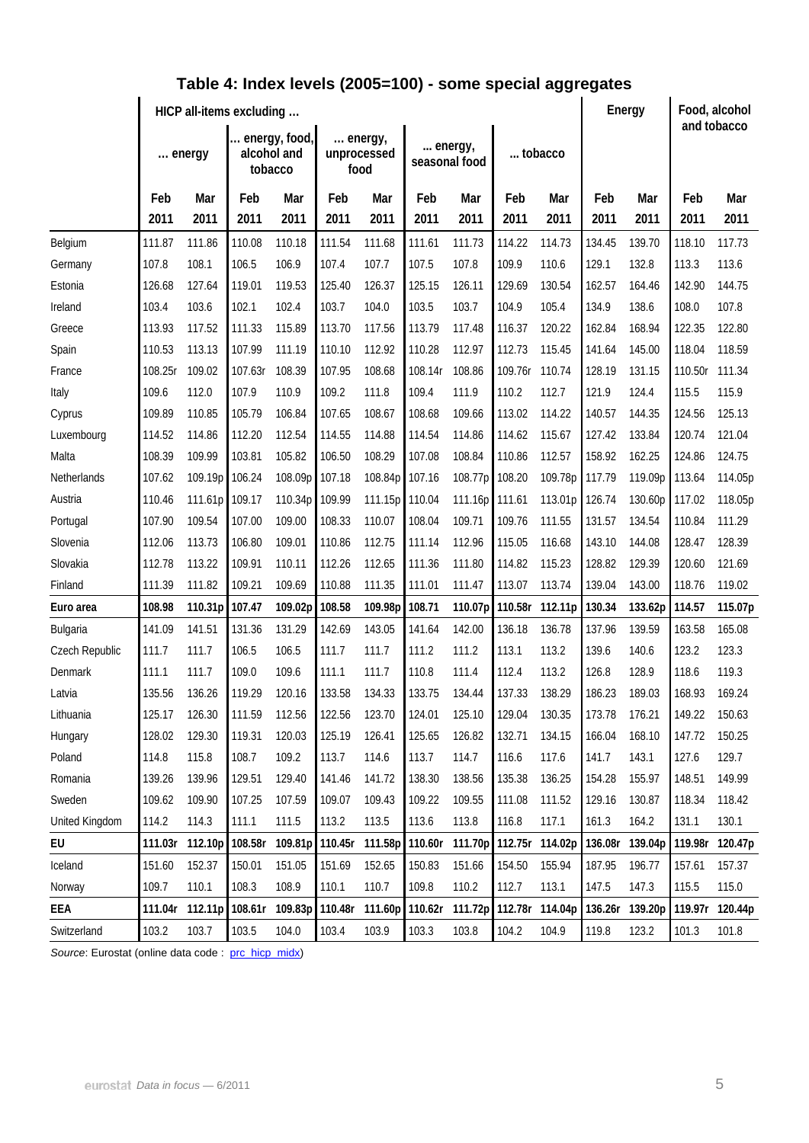|                | HICP all-items excluding |         |                                         |         |                                |                 |                          |         |         |                 | Energy  |         | Food, alcohol<br>and tobacco |                 |
|----------------|--------------------------|---------|-----------------------------------------|---------|--------------------------------|-----------------|--------------------------|---------|---------|-----------------|---------|---------|------------------------------|-----------------|
|                | energy                   |         | energy, food,<br>alcohol and<br>tobacco |         | energy,<br>unprocessed<br>food |                 | energy,<br>seasonal food |         | tobacco |                 |         |         |                              |                 |
|                | Feb                      | Mar     | Feb                                     | Mar     | Feb                            | Mar             | Feb                      | Mar     | Feb     | Mar             | Feb     | Mar     | Feb                          | Mar             |
|                | 2011                     | 2011    | 2011                                    | 2011    | 2011                           | 2011            | 2011                     | 2011    | 2011    | 2011            | 2011    | 2011    | 2011                         | 2011            |
| Belgium        | 111.87                   | 111.86  | 110.08                                  | 110.18  | 111.54                         | 111.68          | 111.61                   | 111.73  | 114.22  | 114.73          | 134.45  | 139.70  | 118.10                       | 117.73          |
| Germany        | 107.8                    | 108.1   | 106.5                                   | 106.9   | 107.4                          | 107.7           | 107.5                    | 107.8   | 109.9   | 110.6           | 129.1   | 132.8   | 113.3                        | 113.6           |
| Estonia        | 126.68                   | 127.64  | 119.01                                  | 119.53  | 125.40                         | 126.37          | 125.15                   | 126.11  | 129.69  | 130.54          | 162.57  | 164.46  | 142.90                       | 144.75          |
| Ireland        | 103.4                    | 103.6   | 102.1                                   | 102.4   | 103.7                          | 104.0           | 103.5                    | 103.7   | 104.9   | 105.4           | 134.9   | 138.6   | 108.0                        | 107.8           |
| Greece         | 113.93                   | 117.52  | 111.33                                  | 115.89  | 113.70                         | 117.56          | 113.79                   | 117.48  | 116.37  | 120.22          | 162.84  | 168.94  | 122.35                       | 122.80          |
| Spain          | 110.53                   | 113.13  | 107.99                                  | 111.19  | 110.10                         | 112.92          | 110.28                   | 112.97  | 112.73  | 115.45          | 141.64  | 145.00  | 118.04                       | 118.59          |
| France         | 108.25r                  | 109.02  | 107.63r                                 | 108.39  | 107.95                         | 108.68          | 108.14r                  | 108.86  | 109.76r | 110.74          | 128.19  | 131.15  | 110.50r                      | 111.34          |
| Italy          | 109.6                    | 112.0   | 107.9                                   | 110.9   | 109.2                          | 111.8           | 109.4                    | 111.9   | 110.2   | 112.7           | 121.9   | 124.4   | 115.5                        | 115.9           |
| Cyprus         | 109.89                   | 110.85  | 105.79                                  | 106.84  | 107.65                         | 108.67          | 108.68                   | 109.66  | 113.02  | 114.22          | 140.57  | 144.35  | 124.56                       | 125.13          |
| Luxembourg     | 114.52                   | 114.86  | 112.20                                  | 112.54  | 114.55                         | 114.88          | 114.54                   | 114.86  | 114.62  | 115.67          | 127.42  | 133.84  | 120.74                       | 121.04          |
| Malta          | 108.39                   | 109.99  | 103.81                                  | 105.82  | 106.50                         | 108.29          | 107.08                   | 108.84  | 110.86  | 112.57          | 158.92  | 162.25  | 124.86                       | 124.75          |
| Netherlands    | 107.62                   | 109.19p | 106.24                                  | 108.09p | 107.18                         | 108.84p         | 107.16                   | 108.77p | 108.20  | 109.78p         | 117.79  | 119.09p | 113.64                       | 114.05p         |
| Austria        | 110.46                   | 111.61p | 109.17                                  | 110.34p | 109.99                         | 111.15p         | 110.04                   | 111.16p | 111.61  | 113.01p         | 126.74  | 130.60p | 117.02                       | 118.05p         |
| Portugal       | 107.90                   | 109.54  | 107.00                                  | 109.00  | 108.33                         | 110.07          | 108.04                   | 109.71  | 109.76  | 111.55          | 131.57  | 134.54  | 110.84                       | 111.29          |
| Slovenia       | 112.06                   | 113.73  | 106.80                                  | 109.01  | 110.86                         | 112.75          | 111.14                   | 112.96  | 115.05  | 116.68          | 143.10  | 144.08  | 128.47                       | 128.39          |
| Slovakia       | 112.78                   | 113.22  | 109.91                                  | 110.11  | 112.26                         | 112.65          | 111.36                   | 111.80  | 114.82  | 115.23          | 128.82  | 129.39  | 120.60                       | 121.69          |
| Finland        | 111.39                   | 111.82  | 109.21                                  | 109.69  | 110.88                         | 111.35          | 111.01                   | 111.47  | 113.07  | 113.74          | 139.04  | 143.00  | 118.76                       | 119.02          |
| Euro area      | 108.98                   | 110.31p | 107.47                                  | 109.02p | 108.58                         | 109.98p         | 108.71                   | 110.07p | 110.58r | 112.11p         | 130.34  | 133.62p | 114.57                       | 115.07p         |
| Bulgaria       | 141.09                   | 141.51  | 131.36                                  | 131.29  | 142.69                         | 143.05          | 141.64                   | 142.00  | 136.18  | 136.78          | 137.96  | 139.59  | 163.58                       | 165.08          |
| Czech Republic | 111.7                    | 111.7   | 106.5                                   | 106.5   | 111.7                          | 111.7           | 111.2                    | 111.2   | 113.1   | 113.2           | 139.6   | 140.6   | 123.2                        | 123.3           |
| Denmark        | 111.1                    | 111.7   | 109.0                                   | 109.6   | 111.1                          | 111.7           | 110.8                    | 111.4   | 112.4   | 113.2           | 126.8   | 128.9   | 118.6                        | 119.3           |
| Latvia         | 135.56                   | 136.26  | 119.29                                  | 120.16  | 133.58                         | 134.33          | 133.75                   | 134.44  | 137.33  | 138.29          | 186.23  | 189.03  | 168.93                       | 169.24          |
| Lithuania      | 125.17                   | 126.30  | 111.59                                  | 112.56  | 122.56                         | 123.70          | 124.01                   | 125.10  | 129.04  | 130.35          | 173.78  | 176.21  | 149.22                       | 150.63          |
| Hungary        | 128.02                   | 129.30  | 119.31                                  | 120.03  | 125.19                         | 126.41          | 125.65                   | 126.82  | 132.71  | 134.15          | 166.04  | 168.10  | 147.72                       | 150.25          |
| Poland         | 114.8                    | 115.8   | 108.7                                   | 109.2   | 113.7                          | 114.6           | 113.7                    | 114.7   | 116.6   | 117.6           | 141.7   | 143.1   | 127.6                        | 129.7           |
| Romania        | 139.26                   | 139.96  | 129.51                                  | 129.40  | 141.46                         | 141.72          | 138.30                   | 138.56  | 135.38  | 136.25          | 154.28  | 155.97  | 148.51                       | 149.99          |
| Sweden         | 109.62                   | 109.90  | 107.25                                  | 107.59  | 109.07                         | 109.43          | 109.22                   | 109.55  | 111.08  | 111.52          | 129.16  | 130.87  | 118.34                       | 118.42          |
| United Kingdom | 114.2                    | 114.3   | 111.1                                   | 111.5   | 113.2                          | 113.5           | 113.6                    | 113.8   | 116.8   | 117.1           | 161.3   | 164.2   | 131.1                        | 130.1           |
| EU             | 111.03r                  | 112.10p | 108.58r                                 | 109.81p | 110.45r                        | 111.58p         | 110.60r                  | 111.70p |         | 112.75r 114.02p | 136.08r | 139.04p |                              | 119.98r 120.47p |
| Iceland        | 151.60                   | 152.37  | 150.01                                  | 151.05  | 151.69                         | 152.65          | 150.83                   | 151.66  | 154.50  | 155.94          | 187.95  | 196.77  | 157.61                       | 157.37          |
| Norway         | 109.7                    | 110.1   | 108.3                                   | 108.9   | 110.1                          | 110.7           | 109.8                    | 110.2   | 112.7   | 113.1           | 147.5   | 147.3   | 115.5                        | 115.0           |
| EEA            | 111.04r                  | 112.11p | 108.61r                                 | 109.83p | 110.48r                        | 111.60p 110.62r |                          | 111.72p |         | 112.78r 114.04p | 136.26r | 139.20p |                              | 119.97r 120.44p |
| Switzerland    | 103.2                    | 103.7   | 103.5                                   | 104.0   | 103.4                          | 103.9           | 103.3                    | 103.8   | 104.2   | 104.9           | 119.8   | 123.2   | 101.3                        | 101.8           |

### **Table 4: Index levels (2005=100) - some special aggregates**

Source: Eurostat (online data code : [prc\\_hicp\\_midx\)](http://ec.europa.eu/eurostat/product?code=prc_hicp_midx&mode=view)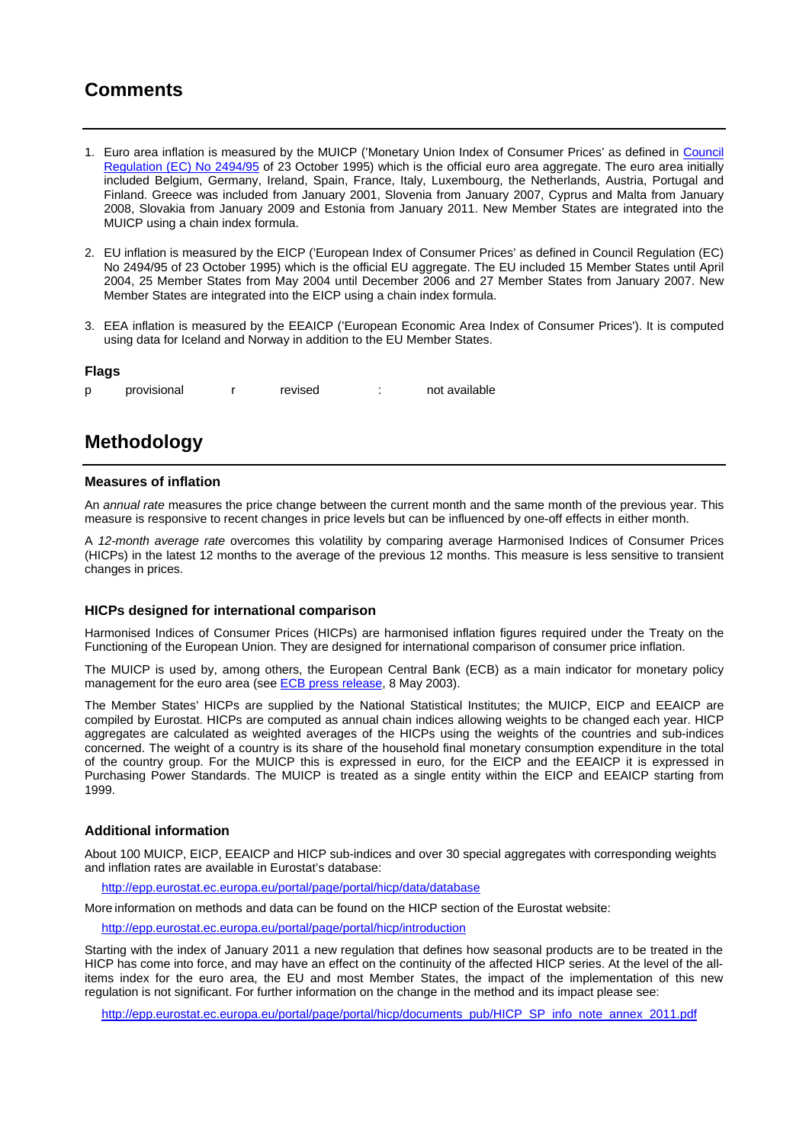## **Comments**

- 1. Euro area inflation is measured by the MUICP ('Monetary Union Index of Consumer Prices' as defined in Council Regulation (EC) No 2494/95 of 23 October 1995) which is the official euro area aggregate. The euro area initially included Belgium, Germany, Ireland, Spain, France, Italy, Luxembourg, the Netherlands, Austria, Portugal and Finland. Greece was included from January 2001, Slovenia from January 2007, Cyprus and Malta from January 2008, Slovakia from January 2009 and Estonia from January 2011. New Member States are integrated into the MUICP using a chain index formula.
- 2. EU inflation is measured by the EICP ('European Index of Consumer Prices' as defined in Council Regulation (EC) No 2494/95 of 23 October 1995) which is the official EU aggregate. The EU included 15 Member States until April 2004, 25 Member States from May 2004 until December 2006 and 27 Member States from January 2007. New Member States are integrated into the EICP using a chain index formula.
- 3. EEA inflation is measured by the EEAICP ('European Economic Area Index of Consumer Prices'). It is computed using data for Iceland and Norway in addition to the EU Member States.

#### **Flags**

|  | provisional |  | revised |  | not available |
|--|-------------|--|---------|--|---------------|
|--|-------------|--|---------|--|---------------|

### **Methodology**

#### **Measures of inflation**

An *annual rate* measures the price change between the current month and the same month of the previous year. This measure is responsive to recent changes in price levels but can be influenced by one-off effects in either month.

A *12-month average rate* overcomes this volatility by comparing average Harmonised Indices of Consumer Prices (HICPs) in the latest 12 months to the average of the previous 12 months. This measure is less sensitive to transient changes in prices.

#### **HICPs designed for international comparison**

Harmonised Indices of Consumer Prices (HICPs) are harmonised inflation figures required under the Treaty on the Functioning of the European Union. They are designed for international comparison of consumer price inflation.

The MUICP is used by, among others, the European Central Bank (ECB) as a main indicator for monetary policy management for the euro area (see **ECB** press release, 8 May 2003).

The Member States' HICPs are supplied by the National Statistical Institutes; the MUICP, EICP and EEAICP are compiled by Eurostat. HICPs are computed as annual chain indices allowing weights to be changed each year. HICP aggregates are calculated as weighted averages of the HICPs using the weights of the countries and sub-indices concerned. The weight of a country is its share of the household final monetary consumption expenditure in the total of the country group. For the MUICP this is expressed in euro, for the EICP and the EEAICP it is expressed in Purchasing Power Standards. The MUICP is treated as a single entity within the EICP and EEAICP starting from 1999.

#### **Additional information**

About 100 MUICP, EICP, EEAICP and HICP sub-indices and over 30 special aggregates with corresponding weights and inflation rates are available in Eurostat's database:

<http://epp.eurostat.ec.europa.eu/portal/page/portal/hicp/data/database>

More information on methods and data can be found on the HICP section of the Eurostat website:

<http://epp.eurostat.ec.europa.eu/portal/page/portal/hicp/introduction>

Starting with the index of January 2011 a new regulation that defines how seasonal products are to be treated in the HICP has come into force, and may have an effect on the continuity of the affected HICP series. At the level of the allitems index for the euro area, the EU and most Member States, the impact of the implementation of this new regulation is not significant. For further information on the change in the method and its impact please see:

[http://epp.eurostat.ec.europa.eu/portal/page/portal/hicp/documents\\_pub/HICP\\_SP\\_info\\_note\\_annex\\_2011.pdf](http://epp.eurostat.ec.europa.eu/portal/page/portal/hicp/documents_pub/HICP_SP_info_note_annex_2011.pdf)